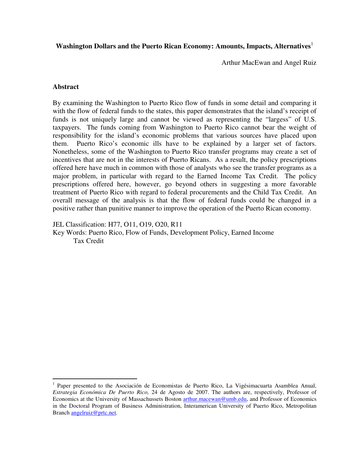## Washington Dollars and the Puerto Rican Economy: Amounts, Impacts, Alternatives<sup>1</sup>

Arthur MacEwan and Angel Ruiz

#### **Abstract**

 $\overline{a}$ 

By examining the Washington to Puerto Rico flow of funds in some detail and comparing it with the flow of federal funds to the states, this paper demonstrates that the island's receipt of funds is not uniquely large and cannot be viewed as representing the "largess" of U.S. taxpayers. The funds coming from Washington to Puerto Rico cannot bear the weight of responsibility for the island's economic problems that various sources have placed upon them. Puerto Rico's economic ills have to be explained by a larger set of factors. Nonetheless, some of the Washington to Puerto Rico transfer programs may create a set of incentives that are not in the interests of Puerto Ricans. As a result, the policy prescriptions offered here have much in common with those of analysts who see the transfer programs as a major problem, in particular with regard to the Earned Income Tax Credit. The policy prescriptions offered here, however, go beyond others in suggesting a more favorable treatment of Puerto Rico with regard to federal procurements and the Child Tax Credit. An overall message of the analysis is that the flow of federal funds could be changed in a positive rather than punitive manner to improve the operation of the Puerto Rican economy.

JEL Classification: H77, O11, O19, O20, R11

Key Words: Puerto Rico, Flow of Funds, Development Policy, Earned Income Tax Credit

<sup>&</sup>lt;sup>1</sup> Paper presented to the Asociación de Economistas de Puerto Rico, La Vigésimacuarta Asamblea Anual, *Estrategia Económica De Puerto Rico,* 24 de Agosto de 2007. The authors are, respectively, Professor of Economics at the University of Massachussets Boston arthur.macewan@umb.edu, and Professor of Economics in the Doctoral Program of Business Administration, Interamerican University of Puerto Rico, Metropolitan Branch angelruiz@prtc.net.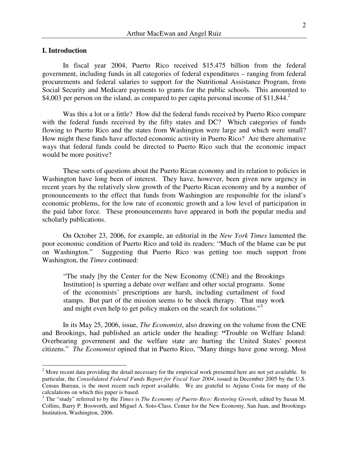#### **I. Introduction**

 In fiscal year 2004, Puerto Rico received \$15.475 billion from the federal government, including funds in all categories of federal expenditures – ranging from federal procurements and federal salaries to support for the Nutritional Assistance Program, from Social Security and Medicare payments to grants for the public schools. This amounted to \$4,003 per person on the island, as compared to per capita personal income of \$11,844.<sup>2</sup>

 Was this a lot or a little? How did the federal funds received by Puerto Rico compare with the federal funds received by the fifty states and DC? Which categories of funds flowing to Puerto Rico and the states from Washington were large and which were small? How might these funds have affected economic activity in Puerto Rico? Are there alternative ways that federal funds could be directed to Puerto Rico such that the economic impact would be more positive?

 These sorts of questions about the Puerto Rican economy and its relation to policies in Washington have long been of interest. They have, however, been given new urgency in recent years by the relatively slow growth of the Puerto Rican economy and by a number of pronouncements to the effect that funds from Washington are responsible for the island's economic problems, for the low rate of economic growth and a low level of participation in the paid labor force. These pronouncements have appeared in both the popular media and scholarly publications.

 On October 23, 2006, for example, an editorial in the *New York Times* lamented the poor economic condition of Puerto Rico and told its readers: "Much of the blame can be put on Washington." Suggesting that Puerto Rico was getting too much support from Washington, the *Times* continued:

"The study [by the Center for the New Economy (CNE) and the Brookings Institution] is spurring a debate over welfare and other social programs. Some of the economists' prescriptions are harsh, including curtailment of food stamps. But part of the mission seems to be shock therapy. That may work and might even help to get policy makers on the search for solutions."<sup>3</sup>

 In its May 25, 2006, issue, *The Economist*, also drawing on the volume from the CNE and Brookings, had published an article under the heading: **"**Trouble on Welfare Island: Overbearing government and the welfare state are hurting the United States' poorest citizens." *The Economist* opined that in Puerto Rico, "Many things have gone wrong. Most

<sup>&</sup>lt;sup>2</sup> More recent data providing the detail necessary for the empirical work presented here are not yet available. In particular, the *Consolidated Federal Funds Report for Fiscal Year 2004*, issued in December 2005 by the U.S. Census Bureau, is the most recent such report available. We are grateful to Arjuna Costa for many of the calculations on which this paper is based.

<sup>3</sup> The "study" referred to by the *Times* is *The Economy of Puerto Rico: Restoring Growth*, edited by Susan M. Collins, Barry P. Bosworth, and Miguel A. Soto-Class, Center for the New Economy, San Juan, and Brookings Institution, Washington, 2006.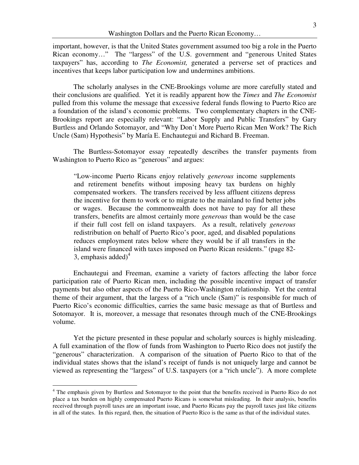important, however, is that the United States government assumed too big a role in the Puerto Rican economy…" The "largess" of the U.S. government and "generous United States taxpayers" has, according to *The Economist,* generated a perverse set of practices and incentives that keeps labor participation low and undermines ambitions.

 The scholarly analyses in the CNE-Brookings volume are more carefully stated and their conclusions are qualified. Yet it is readily apparent how the *Times* and *The Economist*  pulled from this volume the message that excessive federal funds flowing to Puerto Rico are a foundation of the island's economic problems. Two complementary chapters in the CNE-Brookings report are especially relevant: "Labor Supply and Public Transfers" by Gary Burtless and Orlando Sotomayor, and "Why Don't More Puerto Rican Men Work? The Rich Uncle (Sam) Hypothesis" by María E. Enchautegui and Richard B. Freeman.

 The Burtless-Sotomayor essay repeatedly describes the transfer payments from Washington to Puerto Rico as "generous" and argues:

"Low-income Puerto Ricans enjoy relatively *generous* income supplements and retirement benefits without imposing heavy tax burdens on highly compensated workers. The transfers received by less affluent citizens depress the incentive for them to work or to migrate to the mainland to find better jobs or wages. Because the commonwealth does not have to pay for all these transfers, benefits are almost certainly more *generous* than would be the case if their full cost fell on island taxpayers. As a result, relatively *generous* redistribution on behalf of Puerto Rico's poor, aged, and disabled populations reduces employment rates below where they would be if all transfers in the island were financed with taxes imposed on Puerto Rican residents." (page 82- 3, emphasis added) $4$ 

 Enchautegui and Freeman, examine a variety of factors affecting the labor force participation rate of Puerto Rican men, including the possible incentive impact of transfer payments but also other aspects of the Puerto Rico-Washington relationship. Yet the central theme of their argument, that the largess of a "rich uncle (Sam)" is responsible for much of Puerto Rico's economic difficulties, carries the same basic message as that of Burtless and Sotomayor. It is, moreover, a message that resonates through much of the CNE-Brookings volume.

 Yet the picture presented in these popular and scholarly sources is highly misleading. A full examination of the flow of funds from Washington to Puerto Rico does not justify the "generous" characterization. A comparison of the situation of Puerto Rico to that of the individual states shows that the island's receipt of funds is not uniquely large and cannot be viewed as representing the "largess" of U.S. taxpayers (or a "rich uncle"). A more complete

<sup>&</sup>lt;sup>4</sup> The emphasis given by Burtless and Sotomayor to the point that the benefits received in Puerto Rico do not place a tax burden on highly compensated Puerto Ricans is somewhat misleading. In their analysis, benefits received through payroll taxes are an important issue, and Puerto Ricans pay the payroll taxes just like citizens in all of the states. In this regard, then, the situation of Puerto Rico is the same as that of the individual states.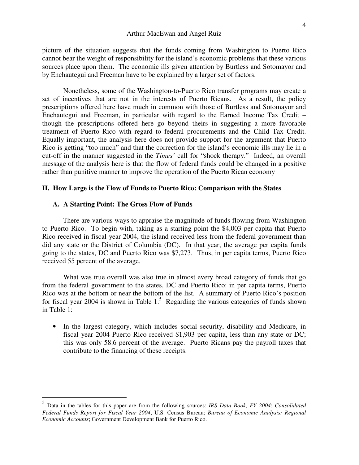picture of the situation suggests that the funds coming from Washington to Puerto Rico cannot bear the weight of responsibility for the island's economic problems that these various sources place upon them. The economic ills given attention by Burtless and Sotomayor and by Enchautegui and Freeman have to be explained by a larger set of factors.

Nonetheless, some of the Washington-to-Puerto Rico transfer programs may create a set of incentives that are not in the interests of Puerto Ricans. As a result, the policy prescriptions offered here have much in common with those of Burtless and Sotomayor and Enchautegui and Freeman, in particular with regard to the Earned Income Tax Credit – though the prescriptions offered here go beyond theirs in suggesting a more favorable treatment of Puerto Rico with regard to federal procurements and the Child Tax Credit. Equally important, the analysis here does not provide support for the argument that Puerto Rico is getting "too much" and that the correction for the island's economic ills may lie in a cut-off in the manner suggested in the *Times'* call for "shock therapy." Indeed, an overall message of the analysis here is that the flow of federal funds could be changed in a positive rather than punitive manner to improve the operation of the Puerto Rican economy

#### **II. How Large is the Flow of Funds to Puerto Rico: Comparison with the States**

#### **A. A Starting Point: The Gross Flow of Funds**

 $\overline{a}$ 

There are various ways to appraise the magnitude of funds flowing from Washington to Puerto Rico. To begin with, taking as a starting point the \$4,003 per capita that Puerto Rico received in fiscal year 2004, the island received less from the federal government than did any state or the District of Columbia (DC). In that year, the average per capita funds going to the states, DC and Puerto Rico was \$7,273. Thus, in per capita terms, Puerto Rico received 55 percent of the average.

What was true overall was also true in almost every broad category of funds that go from the federal government to the states, DC and Puerto Rico: in per capita terms, Puerto Rico was at the bottom or near the bottom of the list. A summary of Puerto Rico's position for fiscal year 2004 is shown in Table  $1<sup>5</sup>$  Regarding the various categories of funds shown in Table 1:

• In the largest category, which includes social security, disability and Medicare, in fiscal year 2004 Puerto Rico received \$1,903 per capita, less than any state or DC; this was only 58.6 percent of the average. Puerto Ricans pay the payroll taxes that contribute to the financing of these receipts.

<sup>5</sup> Data in the tables for this paper are from the following sources: *IRS Data Book, FY 2004*; *Consolidated Federal Funds Report for Fiscal Year 2004*, U.S. Census Bureau; *Bureau of Economic Analysis: Regional Economic Accounts*; Government Development Bank for Puerto Rico.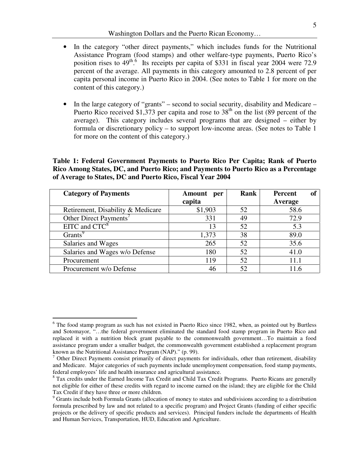- In the category "other direct payments," which includes funds for the Nutritional Assistance Program (food stamps) and other welfare-type payments, Puerto Rico's position rises to  $49^{th}$ .<sup>6</sup> Its receipts per capita of \$331 in fiscal year 2004 were 72.9 percent of the average. All payments in this category amounted to 2.8 percent of per capita personal income in Puerto Rico in 2004. (See notes to Table 1 for more on the content of this category.)
- In the large category of "grants" second to social security, disability and Medicare Puerto Rico received \$1,373 per capita and rose to  $38<sup>th</sup>$  on the list (89 percent of the average). This category includes several programs that are designed – either by formula or discretionary policy – to support low-income areas. (See notes to Table 1 for more on the content of this category.)

## **Table 1: Federal Government Payments to Puerto Rico Per Capita; Rank of Puerto Rico Among States, DC, and Puerto Rico; and Payments to Puerto Rico as a Percentage of Average to States, DC and Puerto Rico, Fiscal Year 2004**

| <b>Category of Payments</b>       | Amount<br>per | Rank | of<br>Percent |
|-----------------------------------|---------------|------|---------------|
|                                   | capita        |      | Average       |
| Retirement, Disability & Medicare | \$1,903       | 52   | 58.6          |
| Other Direct Payments'            | 331           | 49   | 72.9          |
| $EITC$ and $CTC8$                 | 13            | 52   | 5.3           |
| Grants <sup>9</sup>               | 1,373         | 38   | 89.0          |
| Salaries and Wages                | 265           | 52   | 35.6          |
| Salaries and Wages w/o Defense    | 180           | 52   | 41.0          |
| Procurement                       | 119           | 52   | 11.1          |
| Procurement w/o Defense           | 46            | 52   | 11.6          |

 $\overline{a}$ 

<sup>&</sup>lt;sup>6</sup> The food stamp program as such has not existed in Puerto Rico since 1982, when, as pointed out by Burtless and Sotomayor, "…the federal government eliminated the standard food stamp program in Puerto Rico and replaced it with a nutrition block grant payable to the commonwealth government…To maintain a food assistance program under a smaller budget, the commonwealth government established a replacement program known as the Nutritional Assistance Program (NAP)." (p. 99).

 $<sup>7</sup>$  Other Direct Payments consist primarily of direct payments for individuals, other than retirement, disability</sup> and Medicare. Major categories of such payments include unemployment compensation, food stamp payments, federal employees' life and health insurance and agricultural assistance.

<sup>&</sup>lt;sup>8</sup> Tax credits under the Earned Income Tax Credit and Child Tax Credit Programs. Puerto Ricans are generally not eligible for either of these credits with regard to income earned on the island; they are eligible for the Child Tax Credit if they have three or more children.

<sup>&</sup>lt;sup>9</sup> Grants include both Formula Grants (allocation of money to states and subdivisions according to a distribution formula prescribed by law and not related to a specific program) and Project Grants (funding of either specific projects or the delivery of specific products and services). Principal funders include the departments of Health and Human Services, Transportation, HUD, Education and Agriculture.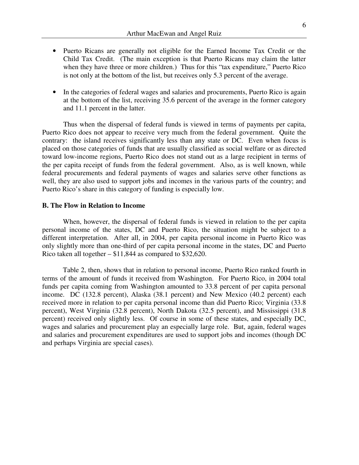- Puerto Ricans are generally not eligible for the Earned Income Tax Credit or the Child Tax Credit. (The main exception is that Puerto Ricans may claim the latter when they have three or more children.) Thus for this "tax expenditure," Puerto Rico is not only at the bottom of the list, but receives only 5.3 percent of the average.
- In the categories of federal wages and salaries and procurements, Puerto Rico is again at the bottom of the list, receiving 35.6 percent of the average in the former category and 11.1 percent in the latter.

Thus when the dispersal of federal funds is viewed in terms of payments per capita, Puerto Rico does not appear to receive very much from the federal government. Quite the contrary: the island receives significantly less than any state or DC. Even when focus is placed on those categories of funds that are usually classified as social welfare or as directed toward low-income regions, Puerto Rico does not stand out as a large recipient in terms of the per capita receipt of funds from the federal government. Also, as is well known, while federal procurements and federal payments of wages and salaries serve other functions as well, they are also used to support jobs and incomes in the various parts of the country; and Puerto Rico's share in this category of funding is especially low.

#### **B. The Flow in Relation to Income**

When, however, the dispersal of federal funds is viewed in relation to the per capita personal income of the states, DC and Puerto Rico, the situation might be subject to a different interpretation. After all, in 2004, per capita personal income in Puerto Rico was only slightly more than one-third of per capita personal income in the states, DC and Puerto Rico taken all together – \$11,844 as compared to \$32,620.

Table 2, then, shows that in relation to personal income, Puerto Rico ranked fourth in terms of the amount of funds it received from Washington. For Puerto Rico, in 2004 total funds per capita coming from Washington amounted to 33.8 percent of per capita personal income. DC (132.8 percent), Alaska (38.1 percent) and New Mexico (40.2 percent) each received more in relation to per capita personal income than did Puerto Rico; Virginia (33.8 percent), West Virginia (32.8 percent), North Dakota (32.5 percent), and Mississippi (31.8 percent) received only slightly less. Of course in some of these states, and especially DC, wages and salaries and procurement play an especially large role. But, again, federal wages and salaries and procurement expenditures are used to support jobs and incomes (though DC and perhaps Virginia are special cases).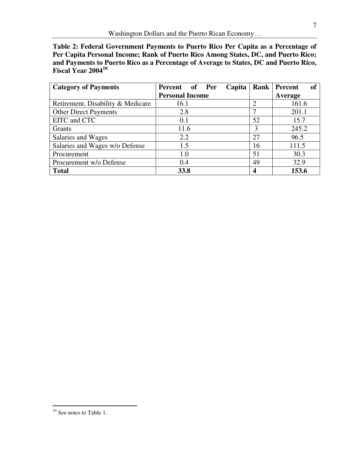**Table 2: Federal Government Payments to Puerto Rico Per Capita as a Percentage of Per Capita Personal Income; Rank of Puerto Rico Among States, DC, and Puerto Rico; and Payments to Puerto Rico as a Percentage of Average to States, DC and Puerto Rico, Fiscal Year 2004<sup>10</sup>**

| <b>Category of Payments</b>       | of Per<br>Capita<br>Percent | Rank | Percent<br>of |
|-----------------------------------|-----------------------------|------|---------------|
|                                   | <b>Personal Income</b>      |      | Average       |
| Retirement, Disability & Medicare | 16.1                        | 2    | 161.6         |
| <b>Other Direct Payments</b>      | 2.8                         |      | 201.1         |
| EITC and CTC                      | 0.1                         | 52   | 15.7          |
| Grants                            | 11.6                        | 3    | 245.2         |
| Salaries and Wages                | 2.2                         | 27   | 96.5          |
| Salaries and Wages w/o Defense    | 1.5                         | 16   | 111.5         |
| Procurement                       | 1.0                         | 51   | 30.3          |
| Procurement w/o Defense           | 0.4                         | 49   | 32.9          |
| <b>Total</b>                      | 33.8                        | 4    | 153.6         |

 $\overline{a}$ 

<sup>7</sup> 

 $10$  See notes to Table 1.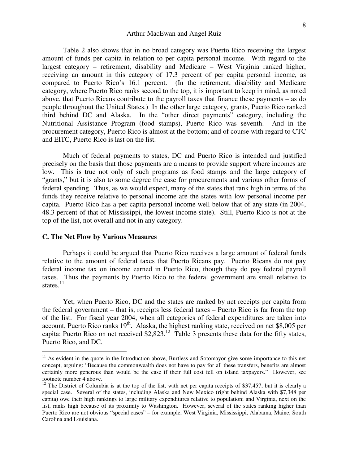Table 2 also shows that in no broad category was Puerto Rico receiving the largest amount of funds per capita in relation to per capita personal income. With regard to the largest category – retirement, disability and Medicare – West Virginia ranked higher, receiving an amount in this category of 17.3 percent of per capita personal income, as compared to Puerto Rico's 16.1 percent. (In the retirement, disability and Medicare category, where Puerto Rico ranks second to the top, it is important to keep in mind, as noted above, that Puerto Ricans contribute to the payroll taxes that finance these payments – as do people throughout the United States.) In the other large category, grants, Puerto Rico ranked third behind DC and Alaska. In the "other direct payments" category, including the Nutritional Assistance Program (food stamps), Puerto Rico was seventh. And in the procurement category, Puerto Rico is almost at the bottom; and of course with regard to CTC and EITC, Puerto Rico is last on the list.

Much of federal payments to states, DC and Puerto Rico is intended and justified precisely on the basis that those payments are a means to provide support where incomes are low. This is true not only of such programs as food stamps and the large category of "grants," but it is also to some degree the case for procurements and various other forms of federal spending. Thus, as we would expect, many of the states that rank high in terms of the funds they receive relative to personal income are the states with low personal income per capita. Puerto Rico has a per capita personal income well below that of any state (in 2004, 48.3 percent of that of Mississippi, the lowest income state). Still, Puerto Rico is not at the top of the list, not overall and not in any category.

#### **C. The Net Flow by Various Measures**

 $\overline{a}$ 

Perhaps it could be argued that Puerto Rico receives a large amount of federal funds relative to the amount of federal taxes that Puerto Ricans pay. Puerto Ricans do not pay federal income tax on income earned in Puerto Rico, though they do pay federal payroll taxes. Thus the payments by Puerto Rico to the federal government are small relative to states. $^{11}$ 

Yet, when Puerto Rico, DC and the states are ranked by net receipts per capita from the federal government – that is, receipts less federal taxes – Puerto Rico is far from the top of the list. For fiscal year 2004, when all categories of federal expenditures are taken into account, Puerto Rico ranks 19<sup>th</sup>. Alaska, the highest ranking state, received on net \$8,005 per capita; Puerto Rico on net received  $$2,823$ .<sup>12</sup> Table 3 presents these data for the fifty states, Puerto Rico, and DC.

<sup>&</sup>lt;sup>11</sup> As evident in the quote in the Introduction above, Burtless and Sotomayor give some importance to this net concept, arguing: "Because the commonwealth does not have to pay for all these transfers, benefits are almost certainly more generous than would be the case if their full cost fell on island taxpayers." However, see footnote number 4 above.

<sup>&</sup>lt;sup>12</sup> The District of Columbia is at the top of the list, with net per capita receipts of \$37,457, but it is clearly a special case. Several of the states, including Alaska and New Mexico (right behind Alaska with \$7,348 per capita) owe their high rankings to large military expenditures relative to population; and Virginia, next on the list, ranks high because of its proximity to Washington. However, several of the states ranking higher than Puerto Rico are not obvious "special cases" – for example, West Virginia, Mississippi, Alabama, Maine, South Carolina and Louisiana.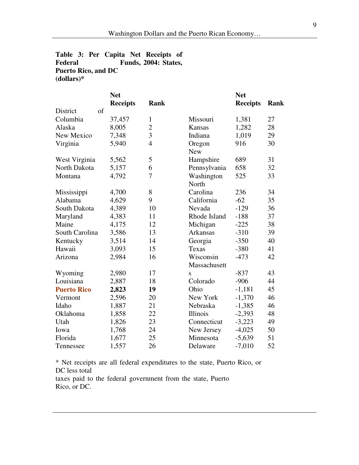# **Table 3: Per Capita Net Receipts of Federal Funds, 2004: States, Puerto Rico, and DC (dollars)\***

|                        | <b>Net</b>      |                |                     | <b>Net</b>      |      |
|------------------------|-----------------|----------------|---------------------|-----------------|------|
|                        | <b>Receipts</b> | <b>Rank</b>    |                     | <b>Receipts</b> | Rank |
| $\sigma$ f<br>District |                 |                |                     |                 |      |
| Columbia               | 37,457          | $\mathbf{1}$   | Missouri            | 1,381           | 27   |
| Alaska                 | 8,005           | $\overline{2}$ | Kansas              | 1,282           | 28   |
| New Mexico             | 7,348           | 3              | Indiana             | 1,019           | 29   |
| Virginia               | 5,940           | $\overline{4}$ | Oregon              | 916             | 30   |
|                        |                 |                | <b>New</b>          |                 |      |
| West Virginia          | 5,562           | 5              | Hampshire           | 689             | 31   |
| North Dakota           | 5,157           | 6              | Pennsylvania        | 658             | 32   |
| Montana                | 4,792           | 7              | Washington<br>North | 525             | 33   |
| Mississippi            | 4,700           | 8              | Carolina            | 236             | 34   |
| Alabama                | 4,629           | 9              | California          | $-62$           | 35   |
| South Dakota           | 4,389           | 10             | Nevada              | $-129$          | 36   |
| Maryland               | 4,383           | 11             | Rhode Island        | $-188$          | 37   |
| Maine                  | 4,175           | 12             | Michigan            | $-225$          | 38   |
| South Carolina         | 3,586           | 13             | <b>Arkansas</b>     | $-310$          | 39   |
| Kentucky               | 3,514           | 14             | Georgia             | $-350$          | 40   |
| Hawaii                 | 3,093           | 15             | Texas               | $-380$          | 41   |
| Arizona                | 2,984           | 16             | Wisconsin           | $-473$          | 42   |
|                        |                 |                | Massachusett        |                 |      |
| Wyoming                | 2,980           | 17             | S                   | $-837$          | 43   |
| Louisiana              | 2,887           | 18             | Colorado            | $-906$          | 44   |
| <b>Puerto Rico</b>     | 2,823           | 19             | Ohio                | $-1,181$        | 45   |
| Vermont                | 2,596           | 20             | New York            | $-1,370$        | 46   |
| Idaho                  | 1,887           | 21             | Nebraska            | $-1,385$        | 46   |
| Oklahoma               | 1,858           | 22             | Illinois            | $-2,393$        | 48   |
| Utah                   | 1,826           | 23             | Connecticut         | $-3,223$        | 49   |
| Iowa                   | 1,768           | 24             | New Jersey          | $-4,025$        | 50   |
| Florida                | 1,677           | 25             | Minnesota           | $-5,639$        | 51   |
| Tennessee              | 1,557           | 26             | Delaware            | $-7,010$        | 52   |

\* Net receipts are all federal expenditures to the state, Puerto Rico, or DC less total

taxes paid to the federal government from the state, Puerto Rico, or DC.

 $\overline{a}$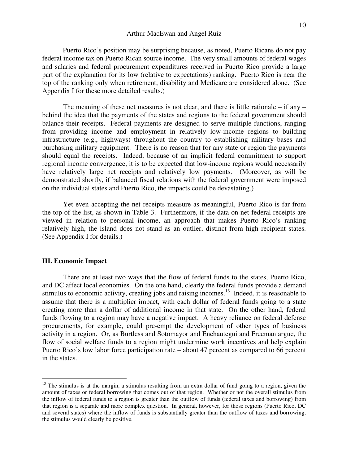Puerto Rico's position may be surprising because, as noted, Puerto Ricans do not pay federal income tax on Puerto Rican source income. The very small amounts of federal wages and salaries and federal procurement expenditures received in Puerto Rico provide a large part of the explanation for its low (relative to expectations) ranking. Puerto Rico is near the top of the ranking only when retirement, disability and Medicare are considered alone. (See Appendix I for these more detailed results.)

The meaning of these net measures is not clear, and there is little rationale – if any – behind the idea that the payments of the states and regions to the federal government should balance their receipts. Federal payments are designed to serve multiple functions, ranging from providing income and employment in relatively low-income regions to building infrastructure (e.g., highways) throughout the country to establishing military bases and purchasing military equipment. There is no reason that for any state or region the payments should equal the receipts. Indeed, because of an implicit federal commitment to support regional income convergence, it is to be expected that low-income regions would necessarily have relatively large net receipts and relatively low payments. (Moreover, as will be demonstrated shortly, if balanced fiscal relations with the federal government were imposed on the individual states and Puerto Rico, the impacts could be devastating.)

Yet even accepting the net receipts measure as meaningful, Puerto Rico is far from the top of the list, as shown in Table 3. Furthermore, if the data on net federal receipts are viewed in relation to personal income, an approach that makes Puerto Rico's ranking relatively high, the island does not stand as an outlier, distinct from high recipient states. (See Appendix I for details.)

### **III. Economic Impact**

 $\overline{a}$ 

There are at least two ways that the flow of federal funds to the states, Puerto Rico, and DC affect local economies. On the one hand, clearly the federal funds provide a demand stimulus to economic activity, creating jobs and raising incomes.<sup>13</sup> Indeed, it is reasonable to assume that there is a multiplier impact, with each dollar of federal funds going to a state creating more than a dollar of additional income in that state. On the other hand, federal funds flowing to a region may have a negative impact. A heavy reliance on federal defense procurements, for example, could pre-empt the development of other types of business activity in a region. Or, as Burtless and Sotomayor and Enchautegui and Freeman argue, the flow of social welfare funds to a region might undermine work incentives and help explain Puerto Rico's low labor force participation rate – about 47 percent as compared to 66 percent in the states.

 $13$  The stimulus is at the margin, a stimulus resulting from an extra dollar of fund going to a region, given the amount of taxes or federal borrowing that comes out of that region. Whether or not the overall stimulus from the inflow of federal funds to a region is greater than the outflow of funds (federal taxes and borrowing) from that region is a separate and more complex question. In general, however, for those regions (Puerto Rico, DC and several states) where the inflow of funds is substantially greater than the outflow of taxes and borrowing, the stimulus would clearly be positive.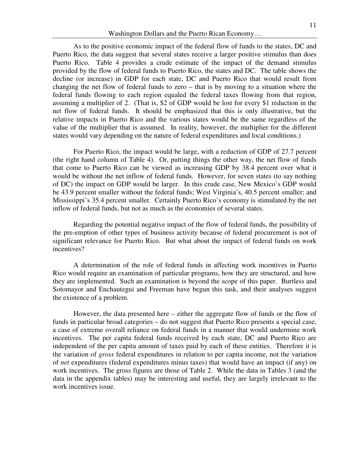As to the positive economic impact of the federal flow of funds to the states, DC and Puerto Rico, the data suggest that several states receive a larger positive stimulus than does Puerto Rico. Table 4 provides a crude estimate of the impact of the demand stimulus provided by the flow of federal funds to Puerto Rico, the states and DC. The table shows the decline (or increase) in GDP for each state, DC and Puerto Rico that would result from changing the net flow of federal funds to zero – that is by moving to a situation where the federal funds flowing to each region equaled the federal taxes flowing from that region, assuming a multiplier of 2. (That is, \$2 of GDP would be lost for every \$1 reduction in the net flow of federal funds. It should be emphasized that this is only illustrative, but the relative impacts in Puerto Rico and the various states would be the same regardless of the value of the multiplier that is assumed. In reality, however, the multiplier for the different states would vary depending on the nature of federal expenditures and local conditions.)

For Puerto Rico, the impact would be large, with a reduction of GDP of 27.7 percent (the right hand column of Table 4). Or, putting things the other way, the net flow of funds that come to Puerto Rico can be viewed as increasing GDP by 38.4 percent over what it would be without the net inflow of federal funds. However, for seven states (to say nothing of DC) the impact on GDP would be larger. In this crude case, New Mexico's GDP would be 43.9 percent smaller without the federal funds; West Virginia's, 40.5 percent smaller; and Mississippi's 35.4 percent smaller. Certainly Puerto Rico's economy is stimulated by the net inflow of federal funds, but not as much as the economies of several states.

Regarding the potential negative impact of the flow of federal funds, the possibility of the pre-emption of other types of business activity because of federal procurement is not of significant relevance for Puerto Rico. But what about the impact of federal funds on work incentives?

A determination of the role of federal funds in affecting work incentives in Puerto Rico would require an examination of particular programs, how they are structured, and how they are implemented. Such an examination is beyond the scope of this paper. Burtless and Sotomayor and Enchautegui and Freeman have begun this task, and their analyses suggest the existence of a problem.

However, the data presented here – either the aggregate flow of funds or the flow of funds in particular broad categories – do not suggest that Puerto Rico presents a special case, a case of extreme overall reliance on federal funds in a manner that would undermine work incentives. The per capita federal funds received by each state, DC and Puerto Rico are independent of the per capita amount of taxes paid by each of these entities. Therefore it is the variation of *gross* federal expenditures in relation to per capita income, not the variation of *net* expenditures (federal expenditures minus taxes) that would have an impact (if any) on work incentives. The gross figures are those of Table 2. While the data in Tables 3 (and the data in the appendix tables) may be interesting and useful, they are largely irrelevant to the work incentives issue.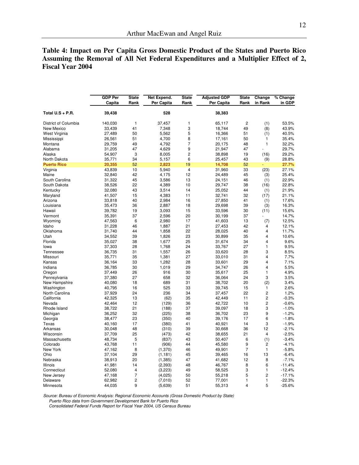# **Table 4: Impact on Per Capita Gross Domestic Product of the States and Puerto Rico Assuming the Removal of All Net Federal Expenditures and a Multiplier Effect of 2, Fiscal Year 2004**

|                      | <b>GDP Per</b> | <b>State</b>   | Net Expend. | <b>State</b>   | <b>Adjusted GDP</b> | <b>State</b>   | Change                  | % Change |
|----------------------|----------------|----------------|-------------|----------------|---------------------|----------------|-------------------------|----------|
|                      | Capita         | Rank           | Per Capita  | Rank           | Per Capita          | Rank           | in Rank                 | in GDP   |
| Total U.S + P.R.     | 39,438         |                | 528         |                | 38,383              |                |                         |          |
| District of Columbia | 140,030        | 1              | 37,457      | 1              | 65,117              | $\overline{c}$ | (1)                     | 53.5%    |
| New Mexico           | 33,439         | 41             | 7,348       | 3              | 18,744              | 49             | (8)                     | 43.9%    |
| West Virginia        | 27,489         | 50             | 5,562       | 5              | 16,366              | 51             | (1)                     | 40.5%    |
| Mississippi          | 26,561         | 51             | 4,700       | 8              | 17,161              | 50             | 1                       | 35.4%    |
| Montana              | 29,759         | 49             | 4,792       | $\overline{7}$ | 20,175              | 48             | $\mathbf{1}$            | 32.2%    |
| Alabama              | 31,205         | 47             | 4,629       | 9              | 21,947              | 47             |                         | 29.7%    |
| Alaska               | 54,907         | 3              | 8,005       | $\overline{c}$ | 38,898              | 19             | (16)                    | 29.2%    |
| North Dakota         | 35,771         | 34             | 5,157       | 6              | 25,457              | 43             | (9)                     | 28.8%    |
| <b>Puerto Rico</b>   | 20,355         | 52             | 2,823       | 19             | 14,708              | 52             |                         | 27.7%    |
| Virginia             | 43,839         | 10             | 5,940       | 4              | 31,960              | 33             | (23)                    | 27.1%    |
| Maine                | 32,840         | 42             | 4,175       | 12             | 24,489              | 45             | (3)                     | 25.4%    |
| South Carolina       | 31,322         | 45             | 3,586       | 13             | 24,151              | 46             | (1)                     | 22.9%    |
| South Dakota         | 38,526         | 22             | 4,389       | 10             | 29,747              | 38             | (16)                    | 22.8%    |
| Kentucky             | 32,080         | 43             | 3,514       | 14             | 25,052              | 44             | (1)                     | 21.9%    |
| Maryland             | 41,507         | 15             | 4,383       | 11             | 32,741              | 32             | (17)                    | 21.1%    |
| Arizona              | 33,818         | 40             | 2,984       | 16             | 27,850              | 41             | (1)                     | 17.6%    |
| Louisiana            | 35,473         | 36             | 2,887       | 18             | 29,698              | 39             | (3)                     | 16.3%    |
| Hawaii               | 39,782         | 19             | 3,093       | 15             | 33,596              | 30             | (11)                    | 15.6%    |
| Vermont              | 35,391         | 37             | 2,596       | 20             | 30,199              | 37             |                         | 14.7%    |
| Wyoming              | 47,563         | 6              | 2,980       | 17             | 41,603              | 13             | (7)                     | 12.5%    |
| Idaho                | 31,228         | 46             | 1,887       | 21             | 27,453              | 42             | 4                       | 12.1%    |
| Oklahoma             | 31,740         | 44             | 1,858       | 22             | 28,025              | 40             | 4                       | 11.7%    |
| Utah                 | 34,552         | 39             | 1,826       | 23             | 30,899              | 35             | 4                       | 10.6%    |
| Florida              | 35,027         | 38             | 1,677       | 25             | 31,674              | 34             | $\overline{\mathbf{4}}$ | 9.6%     |
| lowa                 | 37,303         | 28             | 1,768       | 24             | 33,767              | 27             | 1                       | 9.5%     |
| Tennessee            | 36,735         | 31             | 1,557       | 26             | 33,620              | 28             | 3                       | 8.5%     |
| Missouri             | 35,771         | 35             | 1,381       | 27             | 33,010              | 31             | 4                       | 7.7%     |
| Kansas               | 36,164         | 33             | 1,282       | 28             | 33,601              | 29             | 4                       | 7.1%     |
| Indiana              | 36,785         | 30             | 1,019       | 29             | 34,747              | 26             | 4                       | 5.5%     |
| Oregon               | 37,449         | 26             | 916         | 30             | 35,617              | 25             | $\mathbf{1}$            | 4.9%     |
| Pennsylvania         | 37,380         | 27             | 658         | 32             | 36,064              | 24             | 3                       | 3.5%     |
| New Hampshire        | 40,080         | 18             | 689         | 31             | 38,702              | 20             | (2)                     | 3.4%     |
| Washington           | 40,795         | 16             | 525         | 33             | 39,745              | 15             | $\mathbf{1}$            | 2.6%     |
| North Carolina       | 37,929         | 24             | 236         | 34             | 37,457              | 22             | $\overline{c}$          | 1.2%     |
| California           | 42,325         | 13             | (62)        | 35             | 42,449              | 11             | $\mathbf 2$             | $-0.3%$  |
| Nevada               | 42,464         | 12             | (129)       | 36             | 42,722              | 10             | $\overline{c}$          | $-0.6%$  |
| Rhode Island         | 38,722         | 21             | (188)       | 37             | 39,097              | 18             | 3                       | $-1.0%$  |
| Michigan             | 36,252         | 32             | (225)       | 38             | 36,702              | 23             | 9                       | $-1.2%$  |
| Georgia              | 38,477         | 23             | (350)       | 40             | 39,176              | 17             | 6                       | $-1.8%$  |
| Texas                | 40,160         | 17             | (380)       | 41             | 40,921              | 14             | 3                       | $-1.9%$  |
| Arkansas             | 30,048         | 48             | (310)       | 39             | 30,668              | 36             | 12                      | $-2.1%$  |
| Wisconsin            | 37,709         | 25             | (473)       | 42             | 38,655              | 21             | 4                       | $-2.5%$  |
| Massachusetts        | 48,734         | 5              | (837)       | 43             | 50,407              | 6              | (1)                     | $-3.4%$  |
| Colorado             | 43,768         | 11             | (906)       | 44             | 45,580              | 9              | $\overline{c}$          | $-4.1%$  |
| New York             | 47,162         | 8              | (1,370)     | 46             | 49,901              | $\overline{7}$ | 1                       | $-5.8%$  |
| Ohio                 | 37,104         | 29             | (1, 181)    | 45             | 39,465              | 16             | 13                      | $-6.4%$  |
| Nebraska             | 38,913         | 20             | (1, 385)    | 47             | 41,682              | 12             | 8                       | $-7.1%$  |
| Illinois             | 41,981         | 14             | (2, 393)    | 48             | 46,767              | 8              | 6                       | $-11.4%$ |
| Connecticut          | 52,080         | $\overline{4}$ | (3,223)     | 49             | 58,525              | 3              | 1                       | $-12.4%$ |
| New Jersey           | 47,168         | $\overline{7}$ | (4,025)     | 50             | 55,218              | 5              | $\overline{c}$          | $-17.1%$ |
| Delaware             | 62,982         | $\overline{c}$ | (7,010)     | 52             | 77,001              | 1              | 1                       | $-22.3%$ |
| Minnesota            | 44,035         | 9              | (5,639)     | 51             | 55,313              | 4              | 5                       | $-25.6%$ |

Source: Bureau of Economic Analysis: Regional Economic Accounts (Gross Domestic Product by State) Puerto Rico data from Government Development Bank for Puerto Rico

Consolidated Federal Funds Report for Fiscal Year 2004, US Census Bureau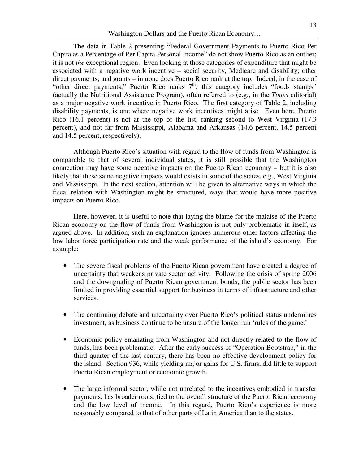The data in Table 2 presenting **"**Federal Government Payments to Puerto Rico Per Capita as a Percentage of Per Capita Personal Income" do not show Puerto Rico as an outlier; it is not *the* exceptional region. Even looking at those categories of expenditure that might be associated with a negative work incentive – social security, Medicare and disability; other direct payments; and grants – in none does Puerto Rico rank at the top. Indeed, in the case of "other direct payments," Puerto Rico ranks 7<sup>th</sup>; this category includes "foods stamps" (actually the Nutritional Assistance Program), often referred to (e.g., in the *Times* editorial) as a major negative work incentive in Puerto Rico. The first category of Table 2, including disability payments, is one where negative work incentives might arise. Even here, Puerto Rico (16.1 percent) is not at the top of the list, ranking second to West Virginia (17.3 percent), and not far from Mississippi, Alabama and Arkansas (14.6 percent, 14.5 percent and 14.5 percent, respectively).

Although Puerto Rico's situation with regard to the flow of funds from Washington is comparable to that of several individual states, it is still possible that the Washington connection may have some negative impacts on the Puerto Rican economy – but it is also likely that these same negative impacts would exists in some of the states, e.g., West Virginia and Mississippi. In the next section, attention will be given to alternative ways in which the fiscal relation with Washington might be structured, ways that would have more positive impacts on Puerto Rico.

Here, however, it is useful to note that laying the blame for the malaise of the Puerto Rican economy on the flow of funds from Washington is not only problematic in itself, as argued above. In addition, such an explanation ignores numerous other factors affecting the low labor force participation rate and the weak performance of the island's economy. For example:

- The severe fiscal problems of the Puerto Rican government have created a degree of uncertainty that weakens private sector activity. Following the crisis of spring 2006 and the downgrading of Puerto Rican government bonds, the public sector has been limited in providing essential support for business in terms of infrastructure and other services.
- The continuing debate and uncertainty over Puerto Rico's political status undermines investment, as business continue to be unsure of the longer run 'rules of the game.'
- Economic policy emanating from Washington and not directly related to the flow of funds, has been problematic. After the early success of "Operation Bootstrap," in the third quarter of the last century, there has been no effective development policy for the island. Section 936, while yielding major gains for U.S. firms, did little to support Puerto Rican employment or economic growth.
- The large informal sector, while not unrelated to the incentives embodied in transfer payments, has broader roots, tied to the overall structure of the Puerto Rican economy and the low level of income. In this regard, Puerto Rico's experience is more reasonably compared to that of other parts of Latin America than to the states.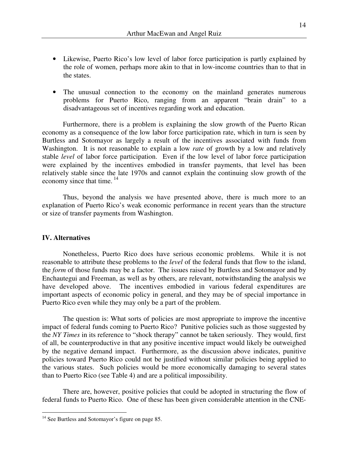- Likewise, Puerto Rico's low level of labor force participation is partly explained by the role of women, perhaps more akin to that in low-income countries than to that in the states.
- The unusual connection to the economy on the mainland generates numerous problems for Puerto Rico, ranging from an apparent "brain drain" to a disadvantageous set of incentives regarding work and education.

Furthermore, there is a problem is explaining the slow growth of the Puerto Rican economy as a consequence of the low labor force participation rate, which in turn is seen by Burtless and Sotomayor as largely a result of the incentives associated with funds from Washington. It is not reasonable to explain a low *rate* of growth by a low and relatively stable *level* of labor force participation. Even if the low level of labor force participation were explained by the incentives embodied in transfer payments, that level has been relatively stable since the late 1970s and cannot explain the continuing slow growth of the economy since that time.  $14$ 

 Thus, beyond the analysis we have presented above, there is much more to an explanation of Puerto Rico's weak economic performance in recent years than the structure or size of transfer payments from Washington.

### **IV. Alternatives**

 $\overline{a}$ 

 Nonetheless, Puerto Rico does have serious economic problems. While it is not reasonable to attribute these problems to the *level* of the federal funds that flow to the island, the *form* of those funds may be a factor. The issues raised by Burtless and Sotomayor and by Enchautegui and Freeman, as well as by others, are relevant, notwithstanding the analysis we have developed above. The incentives embodied in various federal expenditures are important aspects of economic policy in general, and they may be of special importance in Puerto Rico even while they may only be a part of the problem.

 The question is: What sorts of policies are most appropriate to improve the incentive impact of federal funds coming to Puerto Rico? Punitive policies such as those suggested by the *NY Times* in its reference to "shock therapy" cannot be taken seriously. They would, first of all, be counterproductive in that any positive incentive impact would likely be outweighed by the negative demand impact. Furthermore, as the discussion above indicates, punitive policies toward Puerto Rico could not be justified without similar policies being applied to the various states. Such policies would be more economically damaging to several states than to Puerto Rico (see Table 4) and are a political impossibility.

 There are, however, positive policies that could be adopted in structuring the flow of federal funds to Puerto Rico. One of these has been given considerable attention in the CNE-

<sup>&</sup>lt;sup>14</sup> See Burtless and Sotomayor's figure on page 85.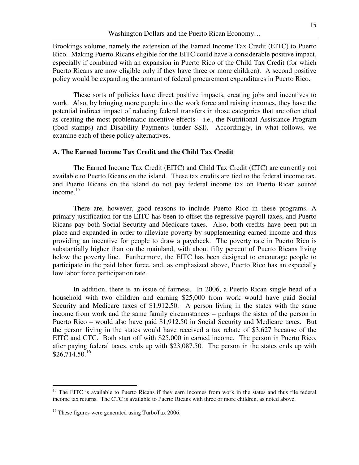Brookings volume, namely the extension of the Earned Income Tax Credit (EITC) to Puerto Rico. Making Puerto Ricans eligible for the EITC could have a considerable positive impact, especially if combined with an expansion in Puerto Rico of the Child Tax Credit (for which Puerto Ricans are now eligible only if they have three or more children). A second positive policy would be expanding the amount of federal procurement expenditures in Puerto Rico.

 These sorts of policies have direct positive impacts, creating jobs and incentives to work. Also, by bringing more people into the work force and raising incomes, they have the potential indirect impact of reducing federal transfers in those categories that are often cited as creating the most problematic incentive effects – i.e., the Nutritional Assistance Program (food stamps) and Disability Payments (under SSI). Accordingly, in what follows, we examine each of these policy alternatives.

## **A. The Earned Income Tax Credit and the Child Tax Credit**

 The Earned Income Tax Credit (EITC) and Child Tax Credit (CTC) are currently not available to Puerto Ricans on the island. These tax credits are tied to the federal income tax, and Puerto Ricans on the island do not pay federal income tax on Puerto Rican source income.<sup>15</sup>

 There are, however, good reasons to include Puerto Rico in these programs. A primary justification for the EITC has been to offset the regressive payroll taxes, and Puerto Ricans pay both Social Security and Medicare taxes. Also, both credits have been put in place and expanded in order to alleviate poverty by supplementing earned income and thus providing an incentive for people to draw a paycheck. The poverty rate in Puerto Rico is substantially higher than on the mainland, with about fifty percent of Puerto Ricans living below the poverty line. Furthermore, the EITC has been designed to encourage people to participate in the paid labor force, and, as emphasized above, Puerto Rico has an especially low labor force participation rate.

 In addition, there is an issue of fairness. In 2006, a Puerto Rican single head of a household with two children and earning \$25,000 from work would have paid Social Security and Medicare taxes of \$1,912.50. A person living in the states with the same income from work and the same family circumstances – perhaps the sister of the person in Puerto Rico – would also have paid \$1,912.50 in Social Security and Medicare taxes. But the person living in the states would have received a tax rebate of \$3,627 because of the EITC and CTC. Both start off with \$25,000 in earned income. The person in Puerto Rico, after paying federal taxes, ends up with \$23,087.50. The person in the states ends up with  $$26,714.50.<sup>16</sup>$ 

 $\overline{a}$ 

<sup>&</sup>lt;sup>15</sup> The EITC is available to Puerto Ricans if they earn incomes from work in the states and thus file federal income tax returns. The CTC is available to Puerto Ricans with three or more children, as noted above.

<sup>&</sup>lt;sup>16</sup> These figures were generated using TurboTax 2006.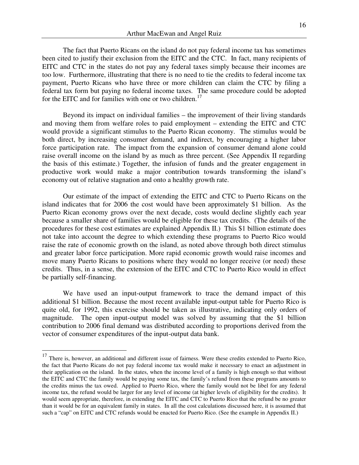The fact that Puerto Ricans on the island do not pay federal income tax has sometimes been cited to justify their exclusion from the EITC and the CTC. In fact, many recipients of EITC and CTC in the states do not pay any federal taxes simply because their incomes are too low. Furthermore, illustrating that there is no need to tie the credits to federal income tax payment, Puerto Ricans who have three or more children can claim the CTC by filing a federal tax form but paying no federal income taxes. The same procedure could be adopted for the EITC and for families with one or two children.<sup>17</sup>

 Beyond its impact on individual families – the improvement of their living standards and moving them from welfare roles to paid employment – extending the EITC and CTC would provide a significant stimulus to the Puerto Rican economy. The stimulus would be both direct, by increasing consumer demand, and indirect, by encouraging a higher labor force participation rate. The impact from the expansion of consumer demand alone could raise overall income on the island by as much as three percent. (See Appendix II regarding the basis of this estimate.) Together, the infusion of funds and the greater engagement in productive work would make a major contribution towards transforming the island's economy out of relative stagnation and onto a healthy growth rate.

 Our estimate of the impact of extending the EITC and CTC to Puerto Ricans on the island indicates that for 2006 the cost would have been approximately \$1 billion. As the Puerto Rican economy grows over the next decade, costs would decline slightly each year because a smaller share of families would be eligible for these tax credits. (The details of the procedures for these cost estimates are explained Appendix II.) This \$1 billion estimate does not take into account the degree to which extending these programs to Puerto Rico would raise the rate of economic growth on the island, as noted above through both direct stimulus and greater labor force participation. More rapid economic growth would raise incomes and move many Puerto Ricans to positions where they would no longer receive (or need) these credits. Thus, in a sense, the extension of the EITC and CTC to Puerto Rico would in effect be partially self-financing.

 We have used an input-output framework to trace the demand impact of this additional \$1 billion. Because the most recent available input-output table for Puerto Rico is quite old, for 1992, this exercise should be taken as illustrative, indicating only orders of magnitude. The open input-output model was solved by assuming that the \$1 billion contribution to 2006 final demand was distributed according to proportions derived from the vector of consumer expenditures of the input-output data bank.

 $\overline{a}$ 

 $17$  There is, however, an additional and different issue of fairness. Were these credits extended to Puerto Rico, the fact that Puerto Ricans do not pay federal income tax would make it necessary to enact an adjustment in their application on the island. In the states, when the income level of a family is high enough so that without the EITC and CTC the family would be paying some tax, the family's refund from these programs amounts to the credits minus the tax owed. Applied to Puerto Rico, where the family would not be libel for any federal income tax, the refund would be larger for any level of income (at higher levels of eligibility for the credits). It would seem appropriate, therefore, in extending the EITC and CTC to Puerto Rico that the refund be no greater than it would be for an equivalent family in states. In all the cost calculations discussed here, it is assumed that such a "cap" on EITC and CTC refunds would be enacted for Puerto Rico. (See the example in Appendix II.)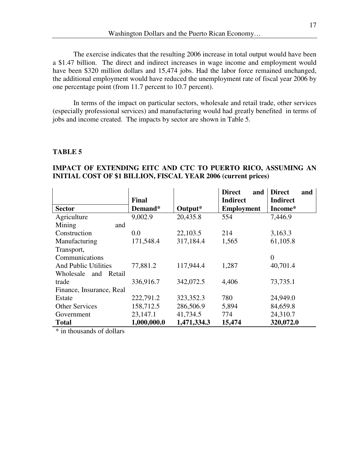The exercise indicates that the resulting 2006 increase in total output would have been a \$1.47 billion. The direct and indirect increases in wage income and employment would have been \$320 million dollars and 15,474 jobs. Had the labor force remained unchanged, the additional employment would have reduced the unemployment rate of fiscal year 2006 by one percentage point (from 11.7 percent to 10.7 percent).

 In terms of the impact on particular sectors, wholesale and retail trade, other services (especially professional services) and manufacturing would had greatly benefited in terms of jobs and income created. The impacts by sector are shown in Table 5.

## **TABLE 5**

|                             | Final       |             | <b>Direct</b><br>and<br><b>Indirect</b> | <b>Direct</b><br>and<br><b>Indirect</b> |
|-----------------------------|-------------|-------------|-----------------------------------------|-----------------------------------------|
| <b>Sector</b>               | Demand*     | Output*     | <b>Employment</b>                       | Income*                                 |
| Agriculture                 | 9,002.9     | 20,435.8    | 554                                     | 7,446.9                                 |
| Mining<br>and               |             |             |                                         |                                         |
| Construction                | 0.0         | 22,103.5    | 214                                     | 3,163.3                                 |
| Manufacturing               | 171,548.4   | 317,184.4   | 1,565                                   | 61,105.8                                |
| Transport,                  |             |             |                                         |                                         |
| Communications              |             |             |                                         | $\overline{0}$                          |
| <b>And Public Utilities</b> | 77,881.2    | 117,944.4   | 1,287                                   | 40,701.4                                |
| Wholesale<br>and<br>Retail  |             |             |                                         |                                         |
| trade                       | 336,916.7   | 342,072.5   | 4,406                                   | 73,735.1                                |
| Finance, Insurance, Real    |             |             |                                         |                                         |
| Estate                      | 222,791.2   | 323,352.3   | 780                                     | 24,949.0                                |
| <b>Other Services</b>       | 158,712.5   | 286,506.9   | 5,894                                   | 84,659.8                                |
| Government                  | 23,147.1    | 41,734.5    | 774                                     | 24,310.7                                |
| <b>Total</b>                | 1,000,000.0 | 1,471,334.3 | 15,474                                  | 320,072.0                               |

## **IMPACT OF EXTENDING EITC AND CTC TO PUERTO RICO, ASSUMING AN INITIAL COST OF \$1 BILLION, FISCAL YEAR 2006 (current prices)**

\* in thousands of dollars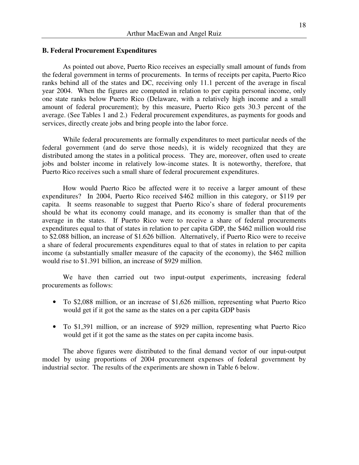#### **B. Federal Procurement Expenditures**

 As pointed out above, Puerto Rico receives an especially small amount of funds from the federal government in terms of procurements. In terms of receipts per capita, Puerto Rico ranks behind all of the states and DC, receiving only 11.1 percent of the average in fiscal year 2004. When the figures are computed in relation to per capita personal income, only one state ranks below Puerto Rico (Delaware, with a relatively high income and a small amount of federal procurement); by this measure, Puerto Rico gets 30.3 percent of the average. (See Tables 1 and 2.) Federal procurement expenditures, as payments for goods and services, directly create jobs and bring people into the labor force.

 While federal procurements are formally expenditures to meet particular needs of the federal government (and do serve those needs), it is widely recognized that they are distributed among the states in a political process. They are, moreover, often used to create jobs and bolster income in relatively low-income states. It is noteworthy, therefore, that Puerto Rico receives such a small share of federal procurement expenditures.

 How would Puerto Rico be affected were it to receive a larger amount of these expenditures? In 2004, Puerto Rico received \$462 million in this category, or \$119 per capita. It seems reasonable to suggest that Puerto Rico's share of federal procurements should be what its economy could manage, and its economy is smaller than that of the average in the states. If Puerto Rico were to receive a share of federal procurements expenditures equal to that of states in relation to per capita GDP, the \$462 million would rise to \$2.088 billion, an increase of \$1.626 billion. Alternatively, if Puerto Rico were to receive a share of federal procurements expenditures equal to that of states in relation to per capita income (a substantially smaller measure of the capacity of the economy), the \$462 million would rise to \$1.391 billion, an increase of \$929 million.

We have then carried out two input-output experiments, increasing federal procurements as follows:

- To \$2,088 million, or an increase of \$1,626 million, representing what Puerto Rico would get if it got the same as the states on a per capita GDP basis
- To \$1,391 million, or an increase of \$929 million, representing what Puerto Rico would get if it got the same as the states on per capita income basis.

The above figures were distributed to the final demand vector of our input-output model by using proportions of 2004 procurement expenses of federal government by industrial sector. The results of the experiments are shown in Table 6 below.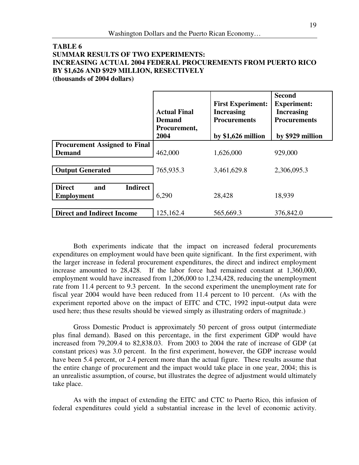## **TABLE 6 SUMMAR RESULTS OF TWO EXPERIMENTS: INCREASING ACTUAL 2004 FEDERAL PROCUREMENTS FROM PUERTO RICO BY \$1,626 AND \$929 MILLION, RESECTIVELY (thousands of 2004 dollars)**

|                                                              | <b>Actual Final</b><br>Demand<br>Procurement,<br>2004 | <b>First Experiment:</b><br><b>Increasing</b><br><b>Procurements</b><br>by $$1,626$ million | <b>Second</b><br><b>Experiment:</b><br><b>Increasing</b><br><b>Procurements</b><br>by \$929 million |
|--------------------------------------------------------------|-------------------------------------------------------|---------------------------------------------------------------------------------------------|-----------------------------------------------------------------------------------------------------|
| <b>Procurement Assigned to Final</b><br><b>Demand</b>        | 462,000                                               | 1,626,000                                                                                   | 929,000                                                                                             |
| <b>Output Generated</b>                                      | 765,935.3                                             | 3,461,629.8                                                                                 | 2,306,095.3                                                                                         |
| <b>Direct</b><br><b>Indirect</b><br>and<br><b>Employment</b> | 6,290                                                 | 28,428                                                                                      | 18,939                                                                                              |
| <b>Direct and Indirect Income</b>                            | 125,162.4                                             | 565,669.3                                                                                   | 376,842.0                                                                                           |

 Both experiments indicate that the impact on increased federal procurements expenditures on employment would have been quite significant. In the first experiment, with the larger increase in federal procurement expenditures, the direct and indirect employment increase amounted to 28,428. If the labor force had remained constant at 1,360,000, employment would have increased from 1,206,000 to 1,234,428, reducing the unemployment rate from 11.4 percent to 9.3 percent. In the second experiment the unemployment rate for fiscal year 2004 would have been reduced from 11.4 percent to 10 percent. (As with the experiment reported above on the impact of EITC and CTC, 1992 input-output data were used here; thus these results should be viewed simply as illustrating orders of magnitude.)

 Gross Domestic Product is approximately 50 percent of gross output (intermediate plus final demand). Based on this percentage, in the first experiment GDP would have increased from 79,209.4 to 82,838.03. From 2003 to 2004 the rate of increase of GDP (at constant prices) was 3.0 percent. In the first experiment, however, the GDP increase would have been 5.4 percent, or 2.4 percent more than the actual figure. These results assume that the entire change of procurement and the impact would take place in one year, 2004; this is an unrealistic assumption, of course, but illustrates the degree of adjustment would ultimately take place.

 As with the impact of extending the EITC and CTC to Puerto Rico, this infusion of federal expenditures could yield a substantial increase in the level of economic activity.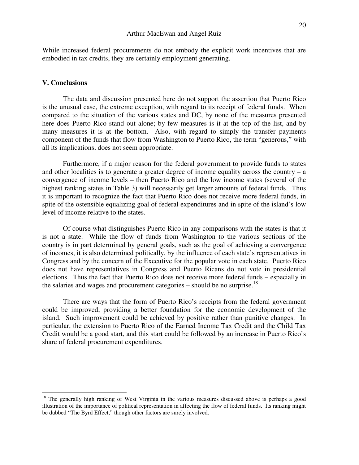While increased federal procurements do not embody the explicit work incentives that are embodied in tax credits, they are certainly employment generating.

#### **V. Conclusions**

 $\overline{a}$ 

 The data and discussion presented here do not support the assertion that Puerto Rico is the unusual case, the extreme exception, with regard to its receipt of federal funds. When compared to the situation of the various states and DC, by none of the measures presented here does Puerto Rico stand out alone; by few measures is it at the top of the list, and by many measures it is at the bottom. Also, with regard to simply the transfer payments component of the funds that flow from Washington to Puerto Rico, the term "generous," with all its implications, does not seem appropriate.

 Furthermore, if a major reason for the federal government to provide funds to states and other localities is to generate a greater degree of income equality across the country  $-$  a convergence of income levels – then Puerto Rico and the low income states (several of the highest ranking states in Table 3) will necessarily get larger amounts of federal funds. Thus it is important to recognize the fact that Puerto Rico does not receive more federal funds, in spite of the ostensible equalizing goal of federal expenditures and in spite of the island's low level of income relative to the states.

 Of course what distinguishes Puerto Rico in any comparisons with the states is that it is not a state. While the flow of funds from Washington to the various sections of the country is in part determined by general goals, such as the goal of achieving a convergence of incomes, it is also determined politically, by the influence of each state's representatives in Congress and by the concern of the Executive for the popular vote in each state. Puerto Rico does not have representatives in Congress and Puerto Ricans do not vote in presidential elections. Thus the fact that Puerto Rico does not receive more federal funds – especially in the salaries and wages and procurement categories  $-$  should be no surprise.<sup>18</sup>

 There are ways that the form of Puerto Rico's receipts from the federal government could be improved, providing a better foundation for the economic development of the island. Such improvement could be achieved by positive rather than punitive changes. In particular, the extension to Puerto Rico of the Earned Income Tax Credit and the Child Tax Credit would be a good start, and this start could be followed by an increase in Puerto Rico's share of federal procurement expenditures.

<sup>&</sup>lt;sup>18</sup> The generally high ranking of West Virginia in the various measures discussed above is perhaps a good illustration of the importance of political representation in affecting the flow of federal funds. Its ranking might be dubbed "The Byrd Effect," though other factors are surely involved.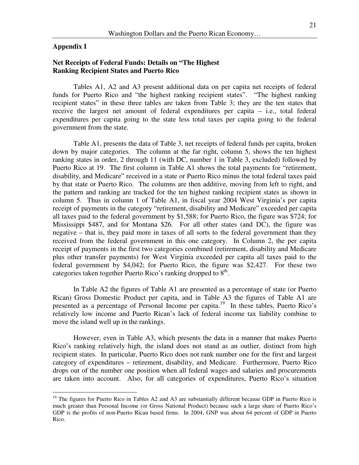#### **Appendix I**

 $\overline{a}$ 

## **Net Receipts of Federal Funds: Details on "The Highest Ranking Recipient States and Puerto Rico**

Tables A1, A2 and A3 present additional data on per capita net receipts of federal funds for Puerto Rico and "the highest ranking recipient states". "The highest ranking recipient states" in these three tables are taken from Table 3; they are the ten states that receive the largest net amount of federal expenditures per capita – i.e., total federal expenditures per capita going to the state less total taxes per capita going to the federal government from the state.

Table A1, presents the data of Table 3, net receipts of federal funds per capita, broken down by major categories. The column at the far right, column 5, shows the ten highest ranking states in order, 2 through 11 (with DC, number 1 in Table 3, excluded) followed by Puerto Rico at 19. The first column in Table A1 shows the total payments for "retirement, disability, and Medicare" received in a state or Puerto Rico minus the total federal taxes paid by that state or Puerto Rico. The columns are then additive, moving from left to right, and the pattern and ranking are tracked for the ten highest ranking recipient states as shown in column 5. Thus in column 1 of Table A1, in fiscal year 2004 West Virginia's per capita receipt of payments in the category "retirement, disability and Medicare" exceeded per capita all taxes paid to the federal government by \$1,588; for Puerto Rico, the figure was \$724; for Mississippi \$487, and for Montana \$26. For all other states (and DC), the figure was negative – that is, they paid more in taxes of all sorts to the federal government than they received from the federal government in this one category. In Column 2, the per capita receipt of payments in the first two categories combined (retirement, disability and Medicare plus other transfer payments) for West Virginia exceeded per capita all taxes paid to the federal government by \$4,042; for Puerto Rico, the figure was \$2,427. For these two categories taken together Puerto Rico's ranking dropped to  $8<sup>th</sup>$ .

In Table A2 the figures of Table A1 are presented as a percentage of state (or Puerto Rican) Gross Domestic Product per capita, and in Table A3 the figures of Table A1 are presented as a percentage of Personal Income per capita.<sup>19</sup> In these tables, Puerto Rico's relatively low income and Puerto Rican's lack of federal income tax liability combine to move the island well up in the rankings.

However, even in Table A3, which presents the data in a manner that makes Puerto Rico's ranking relatively high, the island does not stand as an outlier, distinct from high recipient states. In particular, Puerto Rico does not rank number one for the first and largest category of expenditures – retirement, disability, and Medicare. Furthermore, Puerto Rico drops out of the number one position when all federal wages and salaries and procurements are taken into account. Also, for all categories of expenditures, Puerto Rico's situation

 $19$  The figures for Puerto Rico in Tables A2 and A3 are substantially different because GDP in Puerto Rico is much greater than Personal Income (or Gross National Product) because such a large share of Puerto Rico's GDP is the profits of non-Puerto Rican based firms. In 2004, GNP was about 64 percent of GDP in Puerto Rico.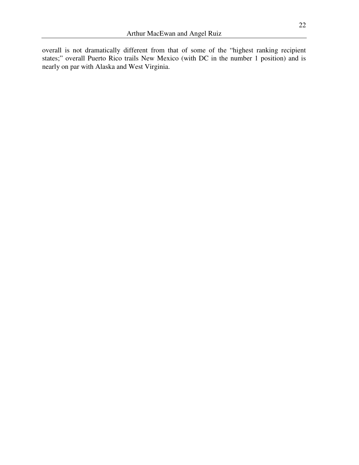overall is not dramatically different from that of some of the "highest ranking recipient states;" overall Puerto Rico trails New Mexico (with DC in the number 1 position) and is nearly on par with Alaska and West Virginia.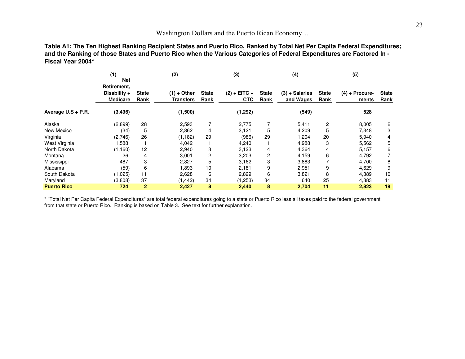**Table A1: The Ten Highest Ranking Recipient States and Puerto Rico, Ranked by Total Net Per Capita Federal Expenditures;and the Ranking of those States and Puerto Rico when the Various Categories of Federal Expenditures are Factored In - Fiscal Year 2004\***

|                    | (1)                                                   |                      | (2)                        |                      | (3)                          |                      | (4)                           |                      | (5)                       |                      |
|--------------------|-------------------------------------------------------|----------------------|----------------------------|----------------------|------------------------------|----------------------|-------------------------------|----------------------|---------------------------|----------------------|
|                    | Net<br>Retirement,<br>Disability +<br><b>Medicare</b> | <b>State</b><br>Rank | $(1) +$ Other<br>Transfers | <b>State</b><br>Rank | $(2) + EITC +$<br><b>CTC</b> | <b>State</b><br>Rank | $(3) + Salaries$<br>and Wages | <b>State</b><br>Rank | $(4)$ + Procure-<br>ments | <b>State</b><br>Rank |
| Average U.S + P.R. | (3, 496)                                              |                      | (1,500)                    |                      | (1, 292)                     |                      | (549)                         |                      | 528                       |                      |
| Alaska             | (2,899)                                               | 28                   | 2,593                      |                      | 2,775                        |                      | 5,411                         | 2                    | 8,005                     | $\mathbf{2}$         |
| New Mexico         | (34)                                                  | 5                    | 2,862                      | 4                    | 3,121                        | 5                    | 4,209                         | 5                    | 7,348                     | 3                    |
| Virginia           | (2,746)                                               | 26                   | (1, 182)                   | 29                   | (986)                        | 29                   | ,204                          | 20                   | 5,940                     | 4                    |
| West Virginia      | 1,588                                                 |                      | 4,042                      |                      | 4,240                        |                      | 4,988                         | 3                    | 5,562                     | 5                    |
| North Dakota       | (1,160)                                               | 12                   | 2,940                      | 3                    | 3,123                        | 4                    | 4,364                         | 4                    | 5,157                     | 6                    |
| Montana            | 26                                                    | 4                    | 3,001                      | 2                    | 3,203                        | 2                    | 4,159                         | 6                    | 4,792                     |                      |
| Mississippi        | 487                                                   | 3                    | 2,827                      | 5                    | 3,162                        | 3                    | 3,883                         | 7                    | 4,700                     | 8                    |
| Alabama            | (59)                                                  | 6                    | 1,893                      | 10                   | 2,181                        | 9                    | 2,951                         | 9                    | 4,629                     | 9                    |
| South Dakota       | (1,025)                                               | 11                   | 2,628                      | 6                    | 2,829                        | 6                    | 3,821                         | 8                    | 4,389                     | 10                   |
| Maryland           | (3,808)                                               | 37                   | (1, 442)                   | 34                   | (1,253)                      | 34                   | 640                           | 25                   | 4,383                     | 11                   |
| <b>Puerto Rico</b> | 724                                                   | $\mathbf{2}$         | 2,427                      | 8                    | 2,440                        | 8                    | 2,704                         | 11                   | 2,823                     | 19                   |

\* "Total Net Per Capita Federal Expenditures" are total federal expenditures going to a state or Puerto Rico less all taxes paid to the federal governmentfrom that state or Puerto Rico. Ranking is based on Table 3. See text for further explanation.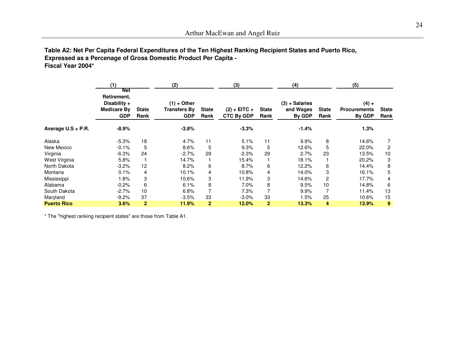## **Table A2: Net Per Capita Federal Expenditures of the Ten Highest Ranking Recipient States and Puerto Rico, Expressed as a Percenage of Gross Domestic Product Per Capita -Fiscal Year 2004\***

|                    | (1)<br>Net                                               |                      | (2)                                                |                      | (3)                                 |                      | (4)                                     |                      | (5)                                      |                      |
|--------------------|----------------------------------------------------------|----------------------|----------------------------------------------------|----------------------|-------------------------------------|----------------------|-----------------------------------------|----------------------|------------------------------------------|----------------------|
|                    | Retirement,<br>Disability +<br>Medicare By<br><b>GDP</b> | <b>State</b><br>Rank | $(1) +$ Other<br><b>Transfers By</b><br><b>GDP</b> | <b>State</b><br>Rank | $(2) + EITC +$<br><b>CTC By GDP</b> | <b>State</b><br>Rank | $(3) + Salaries$<br>and Wages<br>By GDP | <b>State</b><br>Rank | $(4) +$<br><b>Procurements</b><br>By GDP | <b>State</b><br>Rank |
| Average U.S + P.R. | $-8.9%$                                                  |                      | $-3.8%$                                            |                      | $-3.3%$                             |                      | $-1.4%$                                 |                      | 1.3%                                     |                      |
| Alaska             | $-5.3%$                                                  | 18                   | 4.7%                                               | 11                   | 5.1%                                | 11                   | 9.9%                                    | 8                    | 14.6%                                    |                      |
| New Mexico         | $-0.1%$                                                  | 5                    | 8.6%                                               | 5                    | 9.3%                                | 5                    | 12.6%                                   | 5                    | 22.0%                                    | 2                    |
| Virginia           | $-6.3%$                                                  | 24                   | $-2.7%$                                            | 29                   | $-2.3%$                             | 29                   | 2.7%                                    | 23                   | 13.5%                                    | 10                   |
| West Virginia      | 5.8%                                                     |                      | 14.7%                                              |                      | 15.4%                               |                      | 18.1%                                   |                      | 20.2%                                    | 3                    |
| North Dakota       | $-3.2%$                                                  | 12                   | 8.2%                                               | 6                    | 8.7%                                | 6                    | 12.2%                                   | 6                    | 14.4%                                    | 8                    |
| Montana            | 0.1%                                                     | 4                    | 10.1%                                              | 4                    | 10.8%                               | 4                    | 14.0%                                   | 3                    | 16.1%                                    | 5                    |
| Mississippi        | $1.8\%$                                                  | 3                    | 10.6%                                              | 3                    | 11.9%                               | 3                    | 14.6%                                   | $\overline{c}$       | 17.7%                                    | 4                    |
| Alabama            | $-0.2\%$                                                 | 6                    | 6.1%                                               | 8                    | 7.0%                                | 8                    | 9.5%                                    | 10                   | 14.8%                                    | 6                    |
| South Dakota       | $-2.7%$                                                  | 10                   | 6.8%                                               | 7                    | 7.3%                                |                      | 9.9%                                    | 7                    | 11.4%                                    | 13                   |
| Maryland           | $-9.2\%$                                                 | 37                   | $-3.5%$                                            | 33                   | $-3.0\%$                            | 33                   | 1.5%                                    | 25                   | 10.6%                                    | 15                   |
| <b>Puerto Rico</b> | 3.6%                                                     | $\overline{2}$       | 11.9%                                              | $\overline{2}$       | 12.0%                               | $\mathbf{2}$         | 13.3%                                   | 4                    | 13.9%                                    | 9                    |

\* The "highest ranking recipient states" are those from Table A1.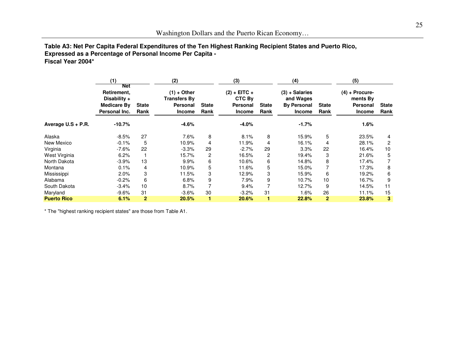# Washington Dollars and the Puerto Rican Economy…

# **Table A3: Net Per Capita Federal Expenditures of the Ten Highest Ranking Recipient States and Puerto Rico,Expressed as a Percentage of Personal Income Per Capita -**

**Fiscal Year 2004\***

|                    | (1)                                                                |                      | (2)                                                               |                      | (3)                                                   |                      | (4)                                                                  |                      | (5)                                                       |                      |  |
|--------------------|--------------------------------------------------------------------|----------------------|-------------------------------------------------------------------|----------------------|-------------------------------------------------------|----------------------|----------------------------------------------------------------------|----------------------|-----------------------------------------------------------|----------------------|--|
|                    | Net<br>Retirement,<br>Disability +<br>Medicare By<br>Personal Inc. | <b>State</b><br>Rank | $(1) +$ Other<br><b>Transfers By</b><br>Personal<br><b>Income</b> | <b>State</b><br>Rank | $(2) + EITC +$<br>CTC By<br>Personal<br><b>Income</b> | <b>State</b><br>Rank | $(3) + Salaries$<br>and Wages<br><b>By Personal</b><br><b>Income</b> | <b>State</b><br>Rank | $(4) +$ Procure-<br>ments By<br>Personal<br><b>Income</b> | <b>State</b><br>Rank |  |
| Average U.S + P.R. | $-10.7%$                                                           |                      | $-4.6%$                                                           |                      | $-4.0%$                                               |                      | $-1.7%$                                                              |                      | 1.6%                                                      |                      |  |
| Alaska             | $-8.5%$                                                            | 27                   | 7.6%                                                              | 8                    | 8.1%                                                  | 8                    | 15.9%                                                                | 5                    | 23.5%                                                     | 4                    |  |
| New Mexico         | $-0.1%$                                                            | 5                    | 10.9%                                                             | 4                    | 11.9%                                                 | 4                    | 16.1%                                                                | 4                    | 28.1%                                                     | 2                    |  |
| Virginia           | $-7.6%$                                                            | 22                   | $-3.3%$                                                           | 29                   | $-2.7%$                                               | 29                   | 3.3%                                                                 | 22                   | 16.4%                                                     | 10                   |  |
| West Virginia      | 6.2%                                                               |                      | 15.7%                                                             | 2                    | 16.5%                                                 | 2                    | 19.4%                                                                | 3                    | 21.6%                                                     | 5                    |  |
| North Dakota       | $-3.9%$                                                            | 13                   | 9.9%                                                              | 6                    | 10.6%                                                 | 6                    | 14.8%                                                                | 8                    | 17.4%                                                     |                      |  |
| Montana            | 0.1%                                                               | 4                    | 10.9%                                                             | 5                    | 11.6%                                                 | 5                    | 15.0%                                                                | 7                    | 17.3%                                                     | 8                    |  |
| Mississippi        | 2.0%                                                               | 3                    | 11.5%                                                             | 3                    | 12.9%                                                 | 3                    | 15.9%                                                                | 6                    | 19.2%                                                     | 6                    |  |
| Alabama            | $-0.2%$                                                            | 6                    | 6.8%                                                              | 9                    | 7.9%                                                  | 9                    | 10.7%                                                                | 10                   | 16.7%                                                     | 9                    |  |
| South Dakota       | $-3.4%$                                                            | 10                   | 8.7%                                                              |                      | 9.4%                                                  |                      | 12.7%                                                                | 9                    | 14.5%                                                     | 11                   |  |
| Maryland           | $-9.6%$                                                            | 31                   | $-3.6%$                                                           | 30                   | $-3.2%$                                               | 31                   | 1.6%                                                                 | 26                   | 11.1%                                                     | 15                   |  |
| <b>Puerto Rico</b> | 6.1%                                                               | $\overline{2}$       | 20.5%                                                             |                      | 20.6%                                                 | 1                    | 22.8%                                                                | $\mathbf{2}$         | 23.8%                                                     | 3                    |  |

\* The "highest ranking recipient states" are those from Table A1.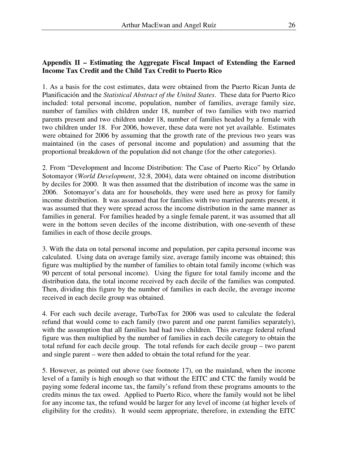# **Appendix II – Estimating the Aggregate Fiscal Impact of Extending the Earned Income Tax Credit and the Child Tax Credit to Puerto Rico**

1. As a basis for the cost estimates, data were obtained from the Puerto Rican Junta de Planificación and the *Statistical Abstract of the United States*. These data for Puerto Rico included: total personal income, population, number of families, average family size, number of families with children under 18, number of two families with two married parents present and two children under 18, number of families headed by a female with two children under 18. For 2006, however, these data were not yet available. Estimates were obtained for 2006 by assuming that the growth rate of the previous two years was maintained (in the cases of personal income and population) and assuming that the proportional breakdown of the population did not change (for the other categories).

2. From "Development and Income Distribution: The Case of Puerto Rico" by Orlando Sotomayor (*World Development*, 32:8, 2004), data were obtained on income distribution by deciles for 2000. It was then assumed that the distribution of income was the same in 2006. Sotomayor's data are for households, they were used here as proxy for family income distribution. It was assumed that for families with two married parents present, it was assumed that they were spread across the income distribution in the same manner as families in general. For families headed by a single female parent, it was assumed that all were in the bottom seven deciles of the income distribution, with one-seventh of these families in each of those decile groups.

3. With the data on total personal income and population, per capita personal income was calculated. Using data on average family size, average family income was obtained; this figure was multiplied by the number of families to obtain total family income (which was 90 percent of total personal income). Using the figure for total family income and the distribution data, the total income received by each decile of the families was computed. Then, dividing this figure by the number of families in each decile, the average income received in each decile group was obtained.

4. For each such decile average, TurboTax for 2006 was used to calculate the federal refund that would come to each family (two parent and one parent families separately), with the assumption that all families had had two children. This average federal refund figure was then multiplied by the number of families in each decile category to obtain the total refund for each decile group. The total refunds for each decile group – two parent and single parent – were then added to obtain the total refund for the year.

5. However, as pointed out above (see footnote 17), on the mainland, when the income level of a family is high enough so that without the EITC and CTC the family would be paying some federal income tax, the family's refund from these programs amounts to the credits minus the tax owed. Applied to Puerto Rico, where the family would not be libel for any income tax, the refund would be larger for any level of income (at higher levels of eligibility for the credits). It would seem appropriate, therefore, in extending the EITC